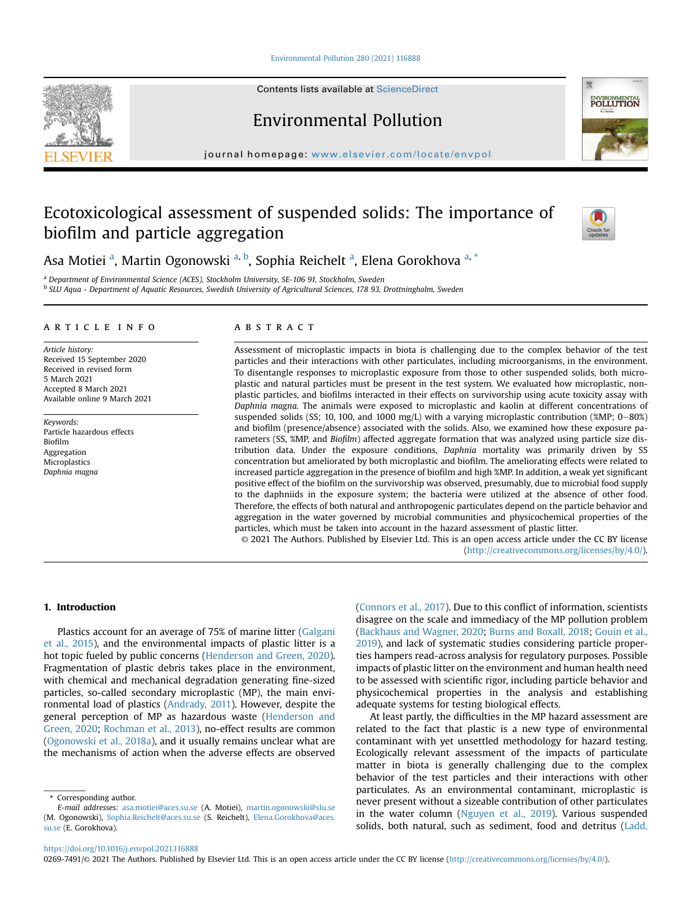[Environmental Pollution 280 \(2021\) 116888](https://doi.org/10.1016/j.envpol.2021.116888)

Contents lists available at ScienceDirect

Environmental Pollution

journal homepage: [www.elsevier.com/locate/envpol](http://www.elsevier.com/locate/envpol)

# Ecotoxicological assessment of suspended solids: The importance of biofilm and particle aggregation



<span id="page-0-1"></span><span id="page-0-0"></span><sup>a</sup> Department of Environmental Science (ACES), Stockholm University, SE-106 91, Stockholm, Sweden <sup>b</sup> SLU Aqua - Department of Aquatic Resources, Swedish University of Agricultural Sciences, 178 93, Drottningholm, Sweden

# article info

Article history: Received 15 September 2020 Received in revised form 5 March 2021 Accepted 8 March 2021 Available online 9 March 2021

Keywords: Particle hazardous effects Biofilm Aggregation Microplastics Daphnia magna

# **ABSTRACT**

Assessment of microplastic impacts in biota is challenging due to the complex behavior of the test particles and their interactions with other particulates, including microorganisms, in the environment. To disentangle responses to microplastic exposure from those to other suspended solids, both microplastic and natural particles must be present in the test system. We evaluated how microplastic, nonplastic particles, and biofilms interacted in their effects on survivorship using acute toxicity assay with Daphnia magna. The animals were exposed to microplastic and kaolin at different concentrations of suspended solids (SS; 10, 100, and 1000 mg/L) with a varying microplastic contribution (%MP;  $0-80%$ ) and biofilm (presence/absence) associated with the solids. Also, we examined how these exposure parameters (SS, %MP, and Biofilm) affected aggregate formation that was analyzed using particle size distribution data. Under the exposure conditions, Daphnia mortality was primarily driven by SS concentration but ameliorated by both microplastic and biofilm. The ameliorating effects were related to increased particle aggregation in the presence of biofilm and high %MP. In addition, a weak yet significant positive effect of the biofilm on the survivorship was observed, presumably, due to microbial food supply to the daphniids in the exposure system; the bacteria were utilized at the absence of other food. Therefore, the effects of both natural and anthropogenic particulates depend on the particle behavior and aggregation in the water governed by microbial communities and physicochemical properties of the particles, which must be taken into account in the hazard assessment of plastic litter. © 2021 The Authors. Published by Elsevier Ltd. This is an open access article under the CC BY license

[\(http://creativecommons.org/licenses/by/4.0/](http://creativecommons.org/licenses/by/4.0/)).

# 1. Introduction

Plastics account for an average of 75% of marine litter [\(Galgani](#page-7-0) [et al., 2015](#page-7-0)), and the environmental impacts of plastic litter is a hot topic fueled by public concerns [\(Henderson and Green, 2020\)](#page-7-1). Fragmentation of plastic debris takes place in the environment, with chemical and mechanical degradation generating fine-sized particles, so-called secondary microplastic (MP), the main environmental load of plastics [\(Andrady, 2011](#page-6-0)). However, despite the general perception of MP as hazardous waste ([Henderson and](#page-7-1) [Green, 2020;](#page-7-1) [Rochman et al., 2013\)](#page-8-0), no-effect results are common ([Ogonowski et al., 2018a](#page-7-2)), and it usually remains unclear what are the mechanisms of action when the adverse effects are observed

<span id="page-0-2"></span>\* Corresponding author.

([Connors et al., 2017](#page-7-3)). Due to this conflict of information, scientists disagree on the scale and immediacy of the MP pollution problem ([Backhaus and Wagner, 2020](#page-6-1); [Burns and Boxall, 2018](#page-7-4); [Gouin et al.,](#page-7-5) [2019\)](#page-7-5), and lack of systematic studies considering particle properties hampers read-across analysis for regulatory purposes. Possible impacts of plastic litter on the environment and human health need to be assessed with scientific rigor, including particle behavior and physicochemical properties in the analysis and establishing adequate systems for testing biological effects.

At least partly, the difficulties in the MP hazard assessment are related to the fact that plastic is a new type of environmental contaminant with yet unsettled methodology for hazard testing. Ecologically relevant assessment of the impacts of particulate matter in biota is generally challenging due to the complex behavior of the test particles and their interactions with other particulates. As an environmental contaminant, microplastic is never present without a sizeable contribution of other particulates in the water column ([Nguyen et al., 2019\)](#page-7-6). Various suspended solids, both natural, such as sediment, food and detritus ([Ladd,](#page-7-7)

0269-7491/© 2021 The Authors. Published by Elsevier Ltd. This is an open access article under the CC BY license ([http://creativecommons.org/licenses/by/4.0/\)](http://creativecommons.org/licenses/by/4.0/).







E-mail addresses: [asa.motiei@aces.su.se](mailto:asa.motiei@aces.su.se) (A. Motiei), [martin.ogonowski@slu.se](mailto:martin.ogonowski@slu.se) (M. Ogonowski), [Sophia.Reichelt@aces.su.se](mailto:Sophia.Reichelt@aces.su.se) (S. Reichelt), [Elena.Gorokhova@aces.](mailto:Elena.Gorokhova@aces.su.se) [su.se](mailto:Elena.Gorokhova@aces.su.se) (E. Gorokhova).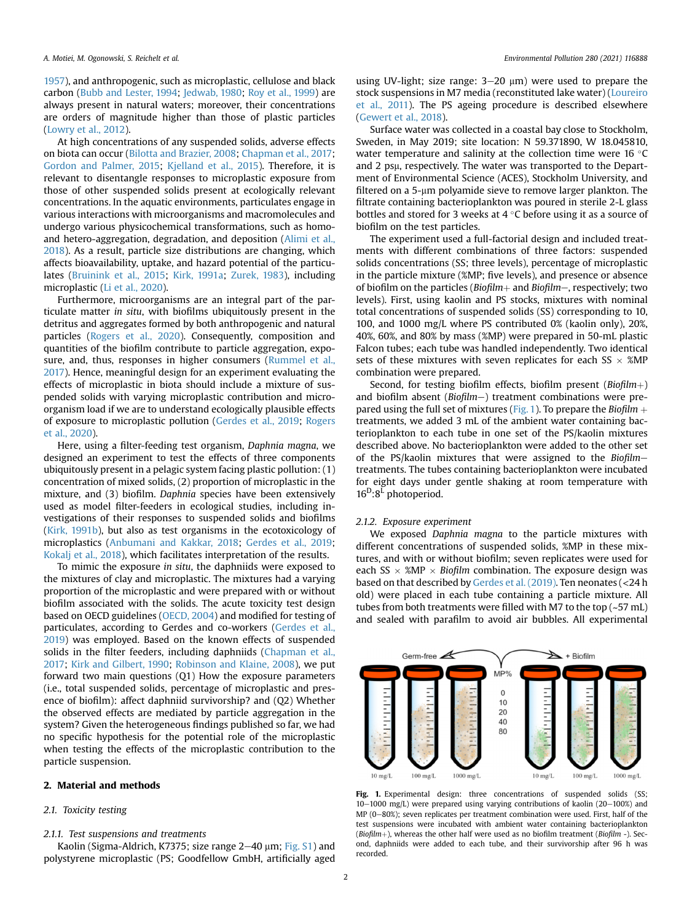[1957\)](#page-7-7), and anthropogenic, such as microplastic, cellulose and black carbon [\(Bubb and Lester, 1994;](#page-7-8) [Jedwab, 1980](#page-7-9); [Roy et al., 1999](#page-8-1)) are always present in natural waters; moreover, their concentrations are orders of magnitude higher than those of plastic particles ([Lowry et al., 2012\)](#page-7-10).

At high concentrations of any suspended solids, adverse effects on biota can occur [\(Bilotta and Brazier, 2008](#page-7-11); [Chapman et al., 2017;](#page-7-12) [Gordon and Palmer, 2015;](#page-7-13) [Kjelland et al., 2015\)](#page-7-14). Therefore, it is relevant to disentangle responses to microplastic exposure from those of other suspended solids present at ecologically relevant concentrations. In the aquatic environments, particulates engage in various interactions with microorganisms and macromolecules and undergo various physicochemical transformations, such as homoand hetero-aggregation, degradation, and deposition ([Alimi et al.,](#page-6-2) [2018\)](#page-6-2). As a result, particle size distributions are changing, which affects bioavailability, uptake, and hazard potential of the particulates [\(Bruinink et al., 2015](#page-7-15); [Kirk, 1991a](#page-7-16); [Zurek, 1983](#page-8-2)), including microplastic [\(Li et al., 2020](#page-7-17)).

Furthermore, microorganisms are an integral part of the particulate matter in situ, with biofilms ubiquitously present in the detritus and aggregates formed by both anthropogenic and natural particles ([Rogers et al., 2020\)](#page-8-3). Consequently, composition and quantities of the biofilm contribute to particle aggregation, exposure, and, thus, responses in higher consumers [\(Rummel et al.,](#page-8-4) [2017\)](#page-8-4). Hence, meaningful design for an experiment evaluating the effects of microplastic in biota should include a mixture of suspended solids with varying microplastic contribution and microorganism load if we are to understand ecologically plausible effects of exposure to microplastic pollution [\(Gerdes et al., 2019](#page-7-18); [Rogers](#page-8-3) [et al., 2020](#page-8-3)).

Here, using a filter-feeding test organism, Daphnia magna, we designed an experiment to test the effects of three components ubiquitously present in a pelagic system facing plastic pollution: (1) concentration of mixed solids, (2) proportion of microplastic in the mixture, and (3) biofilm. Daphnia species have been extensively used as model filter-feeders in ecological studies, including investigations of their responses to suspended solids and biofilms ([Kirk, 1991b](#page-7-19)), but also as test organisms in the ecotoxicology of microplastics [\(Anbumani and Kakkar, 2018](#page-6-3); [Gerdes et al., 2019;](#page-7-18) [Kokalj et al., 2018](#page-7-20)), which facilitates interpretation of the results.

To mimic the exposure in situ, the daphniids were exposed to the mixtures of clay and microplastic. The mixtures had a varying proportion of the microplastic and were prepared with or without biofilm associated with the solids. The acute toxicity test design based on OECD guidelines ([OECD, 2004](#page-7-21)) and modified for testing of particulates, according to Gerdes and co-workers [\(Gerdes et al.,](#page-7-18) [2019\)](#page-7-18) was employed. Based on the known effects of suspended solids in the filter feeders, including daphniids ([Chapman et al.,](#page-7-12) [2017;](#page-7-12) [Kirk and Gilbert, 1990](#page-7-22); [Robinson and Klaine, 2008\)](#page-8-5), we put forward two main questions (Q1) How the exposure parameters (i.e., total suspended solids, percentage of microplastic and presence of biofilm): affect daphniid survivorship? and (Q2) Whether the observed effects are mediated by particle aggregation in the system? Given the heterogeneous findings published so far, we had no specific hypothesis for the potential role of the microplastic when testing the effects of the microplastic contribution to the particle suspension.

## 2. Material and methods

# 2.1. Toxicity testing

# 2.1.1. Test suspensions and treatments

Kaolin (Sigma-Aldrich, K7375; size range  $2-40$   $\mu$ m; Fig. S1) and polystyrene microplastic (PS; Goodfellow GmbH, artificially aged

using UV-light; size range:  $3-20 \mu m$ ) were used to prepare the stock suspensions in M7 media (reconstituted lake water) [\(Loureiro](#page-7-23) [et al., 2011\)](#page-7-23). The PS ageing procedure is described elsewhere ([Gewert et al., 2018\)](#page-7-24).

Surface water was collected in a coastal bay close to Stockholm, Sweden, in May 2019; site location: N 59.371890, W 18.045810, water temperature and salinity at the collection time were  $16 \degree C$ and 2 psµ, respectively. The water was transported to the Department of Environmental Science (ACES), Stockholm University, and filtered on a 5-µm polyamide sieve to remove larger plankton. The filtrate containing bacterioplankton was poured in sterile 2-L glass bottles and stored for 3 weeks at  $4^{\circ}$ C before using it as a source of biofilm on the test particles.

The experiment used a full-factorial design and included treatments with different combinations of three factors: suspended solids concentrations (SS; three levels), percentage of microplastic in the particle mixture (%MP; five levels), and presence or absence of biofilm on the particles ( $Biofilm$  and  $Biofilm$ , respectively; two levels). First, using kaolin and PS stocks, mixtures with nominal total concentrations of suspended solids (SS) corresponding to 10, 100, and 1000 mg/L where PS contributed 0% (kaolin only), 20%, 40%, 60%, and 80% by mass (%MP) were prepared in 50-mL plastic Falcon tubes; each tube was handled independently. Two identical sets of these mixtures with seven replicates for each SS  $\times$  %MP combination were prepared.

Second, for testing biofilm effects, biofilm present ( $Biofilm$ ) and biofilm absent ( $Biofilm$ ) treatment combinations were pre-pared using the full set of mixtures ([Fig. 1\)](#page-1-0). To prepare the Biofilm  $+$ treatments, we added 3 mL of the ambient water containing bacterioplankton to each tube in one set of the PS/kaolin mixtures described above. No bacterioplankton were added to the other set of the PS/kaolin mixtures that were assigned to the Biofilmtreatments. The tubes containing bacterioplankton were incubated for eight days under gentle shaking at room temperature with  $16^D:8^L$  photoperiod.

#### 2.1.2. Exposure experiment

We exposed Daphnia magna to the particle mixtures with different concentrations of suspended solids, %MP in these mixtures, and with or without biofilm; seven replicates were used for each SS  $\times$  %MP  $\times$  Biofilm combination. The exposure design was based on that described by [Gerdes et al. \(2019\).](#page-7-18) Ten neonates (<24 h old) were placed in each tube containing a particle mixture. All tubes from both treatments were filled with M7 to the top (~57 mL) and sealed with parafilm to avoid air bubbles. All experimental

<span id="page-1-0"></span>

Fig. 1. Experimental design: three concentrations of suspended solids (SS;  $10-1000$  mg/L) were prepared using varying contributions of kaolin (20 $-100\%$ ) and MP ( $0-80\%$ ); seven replicates per treatment combination were used. First, half of the test suspensions were incubated with ambient water containing bacterioplankton (Biofilm+), whereas the other half were used as no biofilm treatment (Biofilm -). Second, daphniids were added to each tube, and their survivorship after 96 h was recorded.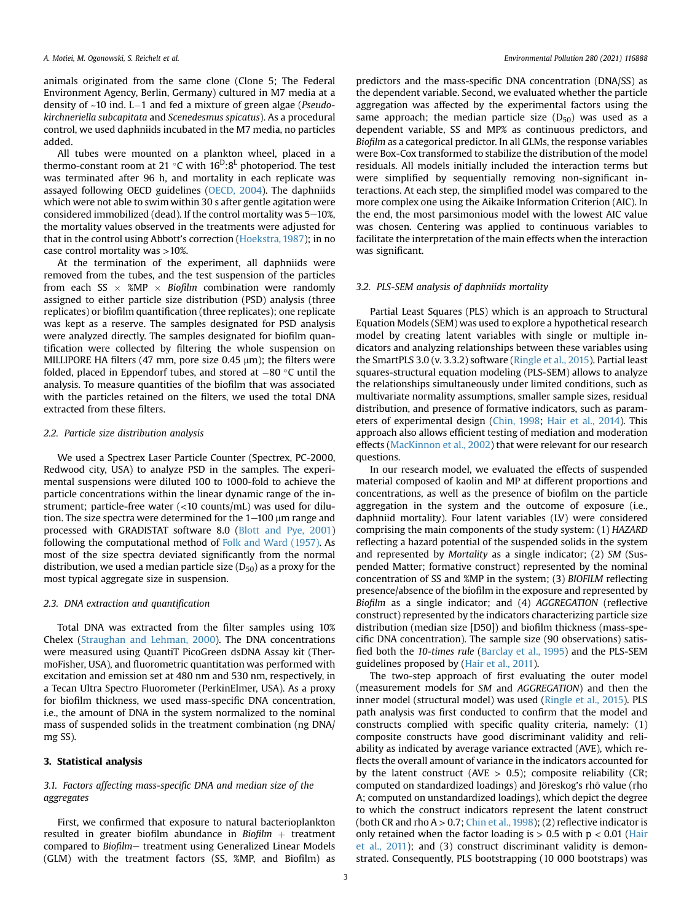animals originated from the same clone (Clone 5; The Federal Environment Agency, Berlin, Germany) cultured in M7 media at a density of  $~10$  ind. L-1 and fed a mixture of green algae (Pseudokirchneriella subcapitata and Scenedesmus spicatus). As a procedural control, we used daphniids incubated in the M7 media, no particles added.

All tubes were mounted on a plankton wheel, placed in a thermo-constant room at 21 °C with  $16^D:8^L$  photoperiod. The test was terminated after 96 h, and mortality in each replicate was assayed following OECD guidelines [\(OECD, 2004](#page-7-21)). The daphniids which were not able to swim within 30 s after gentle agitation were considered immobilized (dead). If the control mortality was  $5-10%$ , the mortality values observed in the treatments were adjusted for that in the control using Abbott's correction [\(Hoekstra, 1987\)](#page-7-25); in no case control mortality was >10%.

At the termination of the experiment, all daphniids were removed from the tubes, and the test suspension of the particles from each SS  $\times$  %MP  $\times$  Biofilm combination were randomly assigned to either particle size distribution (PSD) analysis (three replicates) or biofilm quantification (three replicates); one replicate was kept as a reserve. The samples designated for PSD analysis were analyzed directly. The samples designated for biofilm quantification were collected by filtering the whole suspension on MILLIPORE HA filters (47 mm, pore size 0.45  $\mu$ m); the filters were folded, placed in Eppendorf tubes, and stored at  $-80$  °C until the analysis. To measure quantities of the biofilm that was associated with the particles retained on the filters, we used the total DNA extracted from these filters.

#### 2.2. Particle size distribution analysis

We used a Spectrex Laser Particle Counter (Spectrex, PC-2000, Redwood city, USA) to analyze PSD in the samples. The experimental suspensions were diluted 100 to 1000-fold to achieve the particle concentrations within the linear dynamic range of the instrument; particle-free water (<10 counts/mL) was used for dilution. The size spectra were determined for the  $1-100$   $\mu$ m range and processed with GRADISTAT software 8.0 ([Blott and Pye, 2001\)](#page-7-26) following the computational method of [Folk and Ward \(1957\).](#page-7-27) As most of the size spectra deviated significantly from the normal distribution, we used a median particle size  $(D_{50})$  as a proxy for the most typical aggregate size in suspension.

#### 2.3. DNA extraction and quantification

Total DNA was extracted from the filter samples using 10% Chelex ([Straughan and Lehman, 2000](#page-8-6)). The DNA concentrations were measured using QuantiT PicoGreen dsDNA Assay kit (ThermoFisher, USA), and fluorometric quantitation was performed with excitation and emission set at 480 nm and 530 nm, respectively, in a Tecan Ultra Spectro Fluorometer (PerkinElmer, USA). As a proxy for biofilm thickness, we used mass-specific DNA concentration, i.e., the amount of DNA in the system normalized to the nominal mass of suspended solids in the treatment combination (ng DNA/ mg SS).

# 3. Statistical analysis

# 3.1. Factors affecting mass-specific DNA and median size of the aggregates

First, we confirmed that exposure to natural bacterioplankton resulted in greater biofilm abundance in Biofilm  $+$  treatment compared to Biofilm- treatment using Generalized Linear Models (GLM) with the treatment factors (SS, %MP, and Biofilm) as predictors and the mass-specific DNA concentration (DNA/SS) as the dependent variable. Second, we evaluated whether the particle aggregation was affected by the experimental factors using the same approach; the median particle size  $(D_{50})$  was used as a dependent variable, SS and MP% as continuous predictors, and Biofilm as a categorical predictor. In all GLMs, the response variables were Box-Cox transformed to stabilize the distribution of the model residuals. All models initially included the interaction terms but were simplified by sequentially removing non-significant interactions. At each step, the simplified model was compared to the more complex one using the Aikaike Information Criterion (AIC). In the end, the most parsimonious model with the lowest AIC value was chosen. Centering was applied to continuous variables to facilitate the interpretation of the main effects when the interaction was significant.

## 3.2. PLS-SEM analysis of daphniids mortality

Partial Least Squares (PLS) which is an approach to Structural Equation Models (SEM) was used to explore a hypothetical research model by creating latent variables with single or multiple indicators and analyzing relationships between these variables using the SmartPLS 3.0 (v. 3.3.2) software [\(Ringle et al., 2015](#page-8-7)). Partial least squares-structural equation modeling (PLS-SEM) allows to analyze the relationships simultaneously under limited conditions, such as multivariate normality assumptions, smaller sample sizes, residual distribution, and presence of formative indicators, such as parameters of experimental design [\(Chin, 1998;](#page-7-28) [Hair et al., 2014\)](#page-7-29). This approach also allows efficient testing of mediation and moderation effects [\(MacKinnon et al., 2002](#page-7-30)) that were relevant for our research questions.

In our research model, we evaluated the effects of suspended material composed of kaolin and MP at different proportions and concentrations, as well as the presence of biofilm on the particle aggregation in the system and the outcome of exposure (i.e., daphniid mortality). Four latent variables (LV) were considered comprising the main components of the study system: (1) HAZARD reflecting a hazard potential of the suspended solids in the system and represented by Mortality as a single indicator; (2) SM (Suspended Matter; formative construct) represented by the nominal concentration of SS and %MP in the system; (3) BIOFILM reflecting presence/absence of the biofilm in the exposure and represented by Biofilm as a single indicator; and (4) AGGREGATION (reflective construct) represented by the indicators characterizing particle size distribution (median size [D50]) and biofilm thickness (mass-specific DNA concentration). The sample size (90 observations) satisfied both the 10-times rule [\(Barclay et al., 1995](#page-6-4)) and the PLS-SEM guidelines proposed by [\(Hair et al., 2011](#page-7-31)).

The two-step approach of first evaluating the outer model (measurement models for SM and AGGREGATION) and then the inner model (structural model) was used ([Ringle et al., 2015\)](#page-8-7). PLS path analysis was first conducted to confirm that the model and constructs complied with specific quality criteria, namely: (1) composite constructs have good discriminant validity and reliability as indicated by average variance extracted (AVE), which reflects the overall amount of variance in the indicators accounted for by the latent construct (AVE  $> 0.5$ ); composite reliability (CR; computed on standardized loadings) and Jöreskog's rhô value (rho A; computed on unstandardized loadings), which depict the degree to which the construct indicators represent the latent construct (both CR and rho  $A > 0.7$ ; [Chin et al., 1998](#page-7-28)); (2) reflective indicator is only retained when the factor loading is  $> 0.5$  with  $p < 0.01$  ([Hair](#page-7-31) [et al., 2011\)](#page-7-31); and (3) construct discriminant validity is demonstrated. Consequently, PLS bootstrapping (10 000 bootstraps) was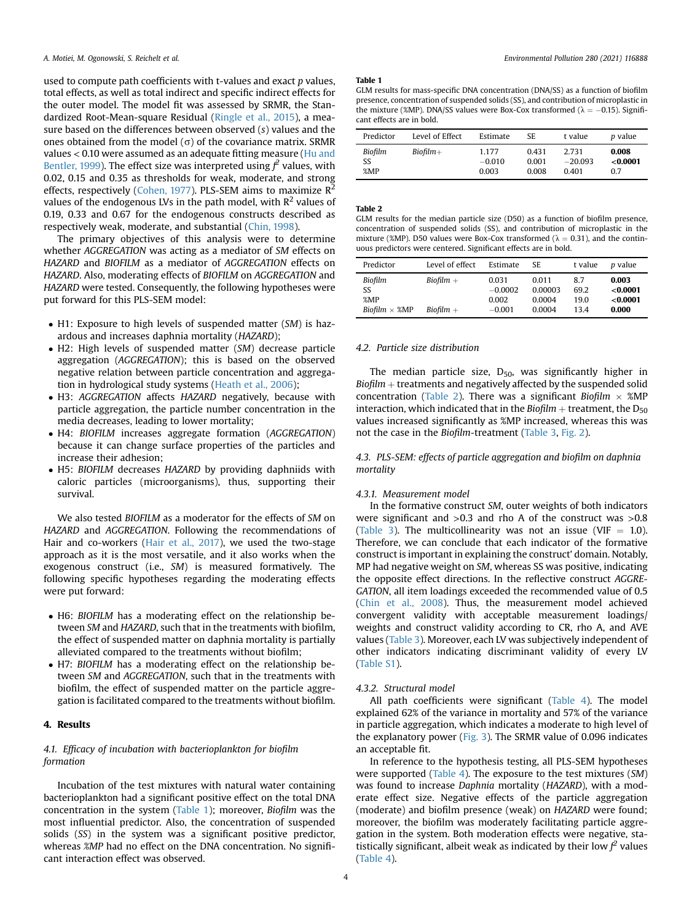used to compute path coefficients with t-values and exact p values, total effects, as well as total indirect and specific indirect effects for the outer model. The model fit was assessed by SRMR, the Standardized Root-Mean-square Residual ([Ringle et al., 2015\)](#page-8-7), a measure based on the differences between observed (s) values and the ones obtained from the model  $(\sigma)$  of the covariance matrix. SRMR values < 0.10 were assumed as an adequate fitting measure ([Hu and](#page-7-32) [Bentler, 1999\)](#page-7-32). The effect size was interpreted using  $f^2$  values, with 0.02, 0.15 and 0.35 as thresholds for weak, moderate, and strong effects, respectively [\(Cohen, 1977](#page-7-33)). PLS-SEM aims to maximize  $R^2$ values of the endogenous LVs in the path model, with  $R^2$  values of 0.19, 0.33 and 0.67 for the endogenous constructs described as respectively weak, moderate, and substantial ([Chin, 1998](#page-7-28)).

The primary objectives of this analysis were to determine whether AGGREGATION was acting as a mediator of SM effects on HAZARD and BIOFILM as a mediator of AGGREGATION effects on HAZARD. Also, moderating effects of BIOFILM on AGGREGATION and HAZARD were tested. Consequently, the following hypotheses were put forward for this PLS-SEM model:

- H1: Exposure to high levels of suspended matter (SM) is hazardous and increases daphnia mortality (HAZARD);
- H2: High levels of suspended matter (SM) decrease particle aggregation (AGGREGATION); this is based on the observed negative relation between particle concentration and aggregation in hydrological study systems ([Heath et al., 2006](#page-7-34));
- H3: AGGREGATION affects HAZARD negatively, because with particle aggregation, the particle number concentration in the media decreases, leading to lower mortality;
- H4: BIOFILM increases aggregate formation (AGGREGATION) because it can change surface properties of the particles and increase their adhesion;
- H5: BIOFILM decreases HAZARD by providing daphniids with caloric particles (microorganisms), thus, supporting their survival.

We also tested BIOFILM as a moderator for the effects of SM on HAZARD and AGGREGATION. Following the recommendations of Hair and co-workers [\(Hair et al., 2017\)](#page-7-35), we used the two-stage approach as it is the most versatile, and it also works when the exogenous construct (i.e., SM) is measured formatively. The following specific hypotheses regarding the moderating effects were put forward:

- H6: BIOFILM has a moderating effect on the relationship between SM and HAZARD, such that in the treatments with biofilm, the effect of suspended matter on daphnia mortality is partially alleviated compared to the treatments without biofilm;
- H7: BIOFILM has a moderating effect on the relationship between SM and AGGREGATION, such that in the treatments with biofilm, the effect of suspended matter on the particle aggregation is facilitated compared to the treatments without biofilm.

# 4. Results

# 4.1. Efficacy of incubation with bacterioplankton for biofilm formation

Incubation of the test mixtures with natural water containing bacterioplankton had a significant positive effect on the total DNA concentration in the system [\(Table 1\)](#page-3-0); moreover, Biofilm was the most influential predictor. Also, the concentration of suspended solids (SS) in the system was a significant positive predictor, whereas *%MP* had no effect on the DNA concentration. No significant interaction effect was observed.

#### <span id="page-3-0"></span>Table 1

GLM results for mass-specific DNA concentration (DNA/SS) as a function of biofilm presence, concentration of suspended solids (SS), and contribution of microplastic in the mixture (%MP). DNA/SS values were Box-Cox transformed ( $\lambda = -0.15$ ). Significant effects are in bold.

| Predictor | Level of Effect | Estimate | SE.   | t value   | <i>p</i> value |
|-----------|-----------------|----------|-------|-----------|----------------|
| Biofilm   | $Bi$ ofilm $+$  | 1.177    | 0.431 | 2.731     | 0.008          |
| SS        |                 | $-0.010$ | 0.001 | $-20.093$ | < 0.0001       |
| %MP       |                 | 0.003    | 0.008 | 0.401     | 0.7            |

#### <span id="page-3-1"></span>Table 2

GLM results for the median particle size (D50) as a function of biofilm presence, concentration of suspended solids (SS), and contribution of microplastic in the mixture (%MP). D50 values were Box-Cox transformed ( $\lambda = 0.31$ ), and the continuous predictors were centered. Significant effects are in bold.

| Predictor                                    | Level of effect            | Estimate                                | SE.                                  | t value                     | <i>p</i> value                         |
|----------------------------------------------|----------------------------|-----------------------------------------|--------------------------------------|-----------------------------|----------------------------------------|
| Biofilm<br>SS<br>%MP<br>Biofilm $\times$ %MP | $Biofilm +$<br>$Biofilm +$ | 0.031<br>$-0.0002$<br>0.002<br>$-0.001$ | 0.011<br>0.00003<br>0.0004<br>0.0004 | 8.7<br>69.2<br>19.0<br>13.4 | 0.003<br>< 0.0001<br>< 0.0001<br>0.000 |

## 4.2. Particle size distribution

The median particle size,  $D_{50}$ , was significantly higher in  $Biofilm + treatments$  and negatively affected by the suspended solid concentration [\(Table 2\)](#page-3-1). There was a significant Biofilm  $\times$  %MP interaction, which indicated that in the Biofilm  $+$  treatment, the D<sub>50</sub> values increased significantly as %MP increased, whereas this was not the case in the Biofilm-treatment ([Table 3,](#page-4-0) [Fig. 2](#page-4-1)).

# 4.3. PLS-SEM: effects of particle aggregation and biofilm on daphnia mortality

#### 4.3.1. Measurement model

In the formative construct SM, outer weights of both indicators were significant and >0.3 and rho A of the construct was >0.8 ([Table 3](#page-4-0)). The multicollinearity was not an issue (VIF  $=$  1.0). Therefore, we can conclude that each indicator of the formative construct is important in explaining the construct' domain. Notably, MP had negative weight on SM, whereas SS was positive, indicating the opposite effect directions. In the reflective construct AGGRE-GATION, all item loadings exceeded the recommended value of 0.5 ([Chin et al., 2008\)](#page-7-36). Thus, the measurement model achieved convergent validity with acceptable measurement loadings/ weights and construct validity according to CR, rho A, and AVE values [\(Table 3](#page-4-0)). Moreover, each LV was subjectively independent of other indicators indicating discriminant validity of every LV (Table S1).

#### 4.3.2. Structural model

All path coefficients were significant [\(Table 4\)](#page-4-2). The model explained 62% of the variance in mortality and 57% of the variance in particle aggregation, which indicates a moderate to high level of the explanatory power ([Fig. 3](#page-4-3)). The SRMR value of 0.096 indicates an acceptable fit.

In reference to the hypothesis testing, all PLS-SEM hypotheses were supported ([Table 4](#page-4-2)). The exposure to the test mixtures (SM) was found to increase Daphnia mortality (HAZARD), with a moderate effect size. Negative effects of the particle aggregation (moderate) and biofilm presence (weak) on HAZARD were found; moreover, the biofilm was moderately facilitating particle aggregation in the system. Both moderation effects were negative, statistically significant, albeit weak as indicated by their low  $f^2$  values ([Table 4\)](#page-4-2).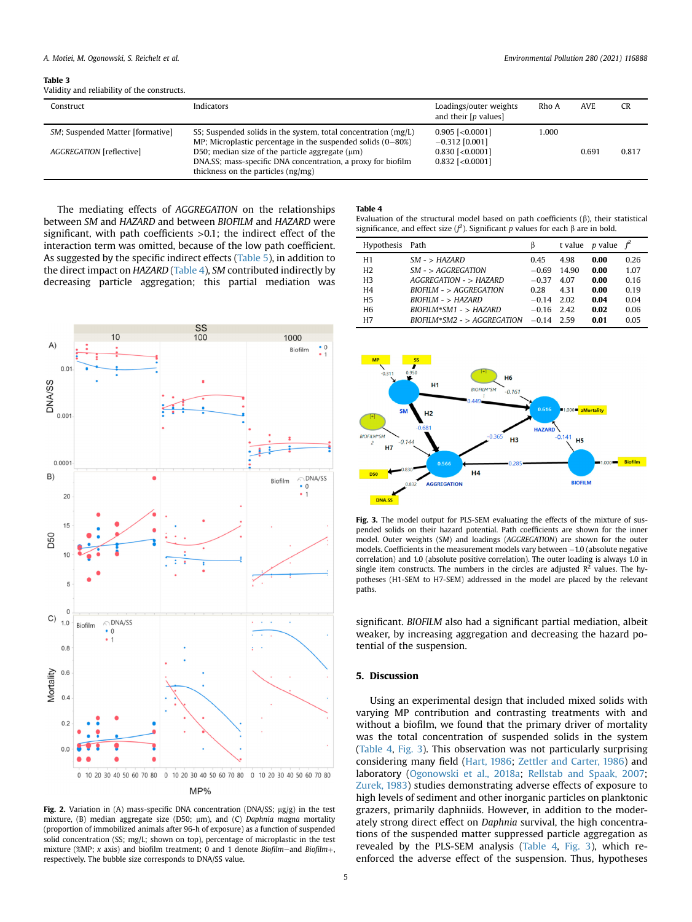<span id="page-4-0"></span>Table 3

Validity and reliability of the constructs.

| Construct                        | <b>Indicators</b>                                                                                                                                           | Loadings/outer weights<br>and their [p values] | Rho A | <b>AVE</b> | <b>CR</b> |
|----------------------------------|-------------------------------------------------------------------------------------------------------------------------------------------------------------|------------------------------------------------|-------|------------|-----------|
| SM; Suspended Matter [formative] | SS; Suspended solids in the system, total concentration (mg/L)<br>MP; Microplastic percentage in the suspended solids $(0-80%)$                             | $0.905$ [< $0.0001$ ]<br>$-0.312$ [0.001]      | 1.000 |            |           |
| AGGREGATION [reflective]         | D50; median size of the particle aggregate $(\mu m)$<br>DNA, SS; mass-specific DNA concentration, a proxy for biofilm<br>thickness on the particles (ng/mg) | $0.830$ [< $0.0001$ ]<br>$0.832$ [< $0.0001$ ] |       | 0.691      | 0.817     |

The mediating effects of AGGREGATION on the relationships between SM and HAZARD and between BIOFILM and HAZARD were significant, with path coefficients >0.1; the indirect effect of the interaction term was omitted, because of the low path coefficient. As suggested by the specific indirect effects ([Table 5](#page-5-0)), in addition to the direct impact on HAZARD ([Table 4](#page-4-2)), SM contributed indirectly by decreasing particle aggregation; this partial mediation was

<span id="page-4-1"></span>

Fig. 2. Variation in (A) mass-specific DNA concentration (DNA/SS;  $\mu$ g/g) in the test mixture, (B) median aggregate size (D50; µm), and (C) Daphnia magna mortality (proportion of immobilized animals after 96-h of exposure) as a function of suspended solid concentration (SS; mg/L; shown on top), percentage of microplastic in the test mixture (%MP; x axis) and biofilm treatment; 0 and 1 denote Biofilm–and Biofilm+, respectively. The bubble size corresponds to DNA/SS value.

#### <span id="page-4-2"></span>Table 4

Evaluation of the structural model based on path coefficients  $(\beta)$ , their statistical significance, and effect size  $(f^2)$ . Significant p values for each  $\beta$  are in bold.

| Hypothesis Path |                               | ß       |       | t value p value | $\ddot{f}^2$ |
|-----------------|-------------------------------|---------|-------|-----------------|--------------|
| H1              | $SM - > HAZARD$               | 0.45    | 4.98  | 0.00            | 0.26         |
| H <sub>2</sub>  | $SM - > AGGREGATION$          | $-0.69$ | 14.90 | 0.00            | 1.07         |
| H <sub>3</sub>  | $AGGREGATION - > HAZARD$      | $-0.37$ | 4.07  | 0.00            | 0.16         |
| H <sub>4</sub>  | $BIOFILM - > AGGREGATION$     | 0.28    | 431   | 0.00            | 0.19         |
| H <sub>5</sub>  | $BIOFILM - > HAZARD$          | $-0.14$ | 2.02  | 0.04            | 0.04         |
| H <sub>6</sub>  | $BIOFILM*SM1 - > HAZARD$      | $-0.16$ | 2.42  | 0.02            | 0.06         |
| H7              | $BIOFILM*SM2 - > AGGREGATION$ | $-0.14$ | 2.59  | 0.01            | 0.05         |

<span id="page-4-3"></span>

Fig. 3. The model output for PLS-SEM evaluating the effects of the mixture of suspended solids on their hazard potential. Path coefficients are shown for the inner model. Outer weights (SM) and loadings (AGGREGATION) are shown for the outer models. Coefficients in the measurement models vary between  $-1.0$  (absolute negative correlation) and 1.0 (absolute positive correlation). The outer loading is always 1.0 in single item constructs. The numbers in the circles are adjusted  $R^2$  values. The hypotheses (H1-SEM to H7-SEM) addressed in the model are placed by the relevant paths

significant. BIOFILM also had a significant partial mediation, albeit weaker, by increasing aggregation and decreasing the hazard potential of the suspension.

#### 5. Discussion

Using an experimental design that included mixed solids with varying MP contribution and contrasting treatments with and without a biofilm, we found that the primary driver of mortality was the total concentration of suspended solids in the system ([Table 4,](#page-4-2) [Fig. 3\)](#page-4-3). This observation was not particularly surprising considering many field ([Hart, 1986](#page-7-37); [Zettler and Carter, 1986](#page-8-8)) and laboratory ([Ogonowski et al., 2018a;](#page-7-2) [Rellstab and Spaak, 2007;](#page-8-9) [Zurek, 1983\)](#page-8-2) studies demonstrating adverse effects of exposure to high levels of sediment and other inorganic particles on planktonic grazers, primarily daphniids. However, in addition to the moderately strong direct effect on Daphnia survival, the high concentrations of the suspended matter suppressed particle aggregation as revealed by the PLS-SEM analysis [\(Table 4,](#page-4-2) [Fig. 3\)](#page-4-3), which reenforced the adverse effect of the suspension. Thus, hypotheses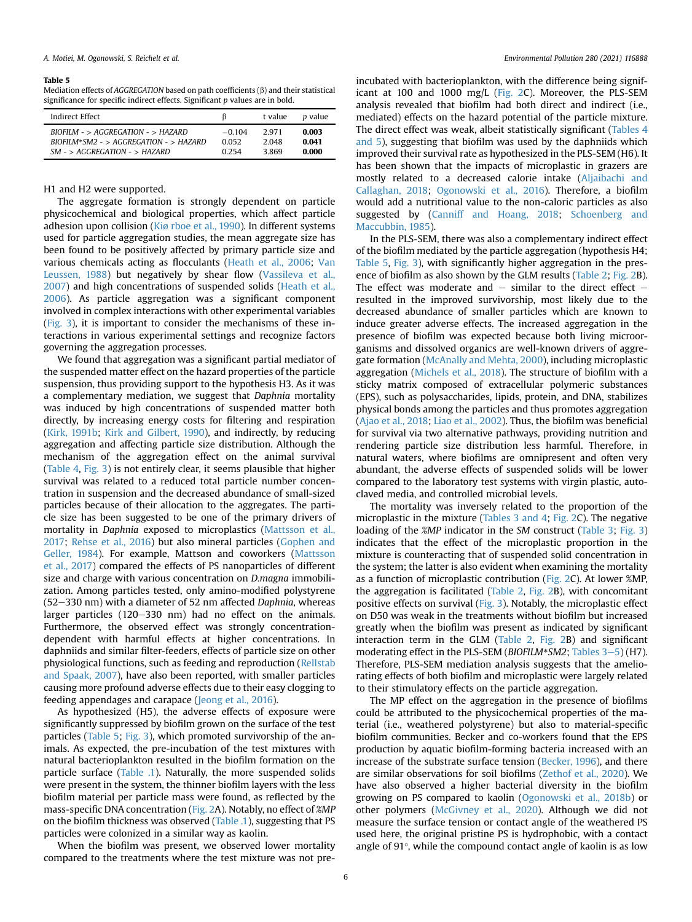#### <span id="page-5-0"></span>Table 5

Mediation effects of AGGREGATION based on path coefficients  $(\beta)$  and their statistical significance for specific indirect effects. Significant  $p$  values are in bold.

| Indirect Effect                          |          | t value | <i>p</i> value |
|------------------------------------------|----------|---------|----------------|
| $RIOFHM - > AGGREGATION - > HAZARD$      | $-0.104$ | 2.971   | 0.003          |
| $BIOFILM*SM2 - > AGGREGATION - > HAZARD$ | 0.052    | 2.048   | 0.041          |
| $SM - > AGGREGATION - > HAZARD$          | 0.254    | 3.869   | 0.000          |

# H1 and H2 were supported.

The aggregate formation is strongly dependent on particle physicochemical and biological properties, which affect particle adhesion upon collision ([Ki](#page-7-38)ø [rboe et al., 1990\)](#page-7-38). In different systems used for particle aggregation studies, the mean aggregate size has been found to be positively affected by primary particle size and various chemicals acting as flocculants [\(Heath et al., 2006](#page-7-34); [Van](#page-8-10) [Leussen, 1988](#page-8-10)) but negatively by shear flow [\(Vassileva et al.,](#page-8-11) [2007\)](#page-8-11) and high concentrations of suspended solids ([Heath et al.,](#page-7-34) [2006\)](#page-7-34). As particle aggregation was a significant component involved in complex interactions with other experimental variables ([Fig. 3\)](#page-4-3), it is important to consider the mechanisms of these interactions in various experimental settings and recognize factors governing the aggregation processes.

We found that aggregation was a significant partial mediator of the suspended matter effect on the hazard properties of the particle suspension, thus providing support to the hypothesis H3. As it was a complementary mediation, we suggest that Daphnia mortality was induced by high concentrations of suspended matter both directly, by increasing energy costs for filtering and respiration ([Kirk, 1991b;](#page-7-19) [Kirk and Gilbert, 1990](#page-7-22)), and indirectly, by reducing aggregation and affecting particle size distribution. Although the mechanism of the aggregation effect on the animal survival ([Table 4,](#page-4-2) [Fig. 3\)](#page-4-3) is not entirely clear, it seems plausible that higher survival was related to a reduced total particle number concentration in suspension and the decreased abundance of small-sized particles because of their allocation to the aggregates. The particle size has been suggested to be one of the primary drivers of mortality in Daphnia exposed to microplastics ([Mattsson et al.,](#page-7-39) [2017;](#page-7-39) [Rehse et al., 2016\)](#page-8-12) but also mineral particles ([Gophen and](#page-7-40) [Geller, 1984\)](#page-7-40). For example, Mattson and coworkers ([Mattsson](#page-7-39) [et al., 2017](#page-7-39)) compared the effects of PS nanoparticles of different size and charge with various concentration on D.magna immobilization. Among particles tested, only amino-modified polystyrene  $(52-330$  nm) with a diameter of 52 nm affected Daphnia, whereas larger particles  $(120-330 \text{ nm})$  had no effect on the animals. Furthermore, the observed effect was strongly concentrationdependent with harmful effects at higher concentrations. In daphniids and similar filter-feeders, effects of particle size on other physiological functions, such as feeding and reproduction ([Rellstab](#page-8-9) [and Spaak, 2007\)](#page-8-9), have also been reported, with smaller particles causing more profound adverse effects due to their easy clogging to feeding appendages and carapace ([Jeong et al., 2016\)](#page-7-41).

As hypothesized (H5), the adverse effects of exposure were significantly suppressed by biofilm grown on the surface of the test particles [\(Table 5;](#page-5-0) [Fig. 3](#page-4-3)), which promoted survivorship of the animals. As expected, the pre-incubation of the test mixtures with natural bacterioplankton resulted in the biofilm formation on the particle surface ([Table .1\)](#page-3-0). Naturally, the more suspended solids were present in the system, the thinner biofilm layers with the less biofilm material per particle mass were found, as reflected by the mass-specific DNA concentration ([Fig. 2A](#page-4-1)). Notably, no effect of %MP on the biofilm thickness was observed ([Table .1](#page-3-0)), suggesting that PS particles were colonized in a similar way as kaolin.

When the biofilm was present, we observed lower mortality compared to the treatments where the test mixture was not preincubated with bacterioplankton, with the difference being significant at 100 and 1000 mg/L ([Fig. 2C](#page-4-1)). Moreover, the PLS-SEM analysis revealed that biofilm had both direct and indirect (i.e., mediated) effects on the hazard potential of the particle mixture. The direct effect was weak, albeit statistically significant ([Tables 4](#page-4-2) [and 5\)](#page-4-2), suggesting that biofilm was used by the daphniids which improved their survival rate as hypothesized in the PLS-SEM (H6). It has been shown that the impacts of microplastic in grazers are mostly related to a decreased calorie intake [\(Aljaibachi and](#page-6-5) [Callaghan, 2018](#page-6-5); [Ogonowski et al., 2016\)](#page-8-13). Therefore, a biofilm would add a nutritional value to the non-caloric particles as also suggested by ([Canniff and Hoang, 2018;](#page-7-42) [Schoenberg and](#page-8-14) [Maccubbin, 1985](#page-8-14)).

In the PLS-SEM, there was also a complementary indirect effect of the biofilm mediated by the particle aggregation (hypothesis H4; [Table 5](#page-5-0), [Fig. 3\)](#page-4-3), with significantly higher aggregation in the presence of biofilm as also shown by the GLM results [\(Table 2;](#page-3-1) [Fig. 2B](#page-4-1)). The effect was moderate and  $-$  similar to the direct effect  $$ resulted in the improved survivorship, most likely due to the decreased abundance of smaller particles which are known to induce greater adverse effects. The increased aggregation in the presence of biofilm was expected because both living microorganisms and dissolved organics are well-known drivers of aggregate formation ([McAnally and Mehta, 2000](#page-7-43)), including microplastic aggregation [\(Michels et al., 2018](#page-7-44)). The structure of biofilm with a sticky matrix composed of extracellular polymeric substances (EPS), such as polysaccharides, lipids, protein, and DNA, stabilizes physical bonds among the particles and thus promotes aggregation ([Ajao et al., 2018;](#page-6-6) [Liao et al., 2002](#page-7-45)). Thus, the biofilm was beneficial for survival via two alternative pathways, providing nutrition and rendering particle size distribution less harmful. Therefore, in natural waters, where biofilms are omnipresent and often very abundant, the adverse effects of suspended solids will be lower compared to the laboratory test systems with virgin plastic, autoclaved media, and controlled microbial levels.

The mortality was inversely related to the proportion of the microplastic in the mixture [\(Tables 3 and 4](#page-4-0); [Fig. 2C](#page-4-1)). The negative loading of the *%MP* indicator in the *SM* construct ([Table 3](#page-4-0); [Fig. 3\)](#page-4-3) indicates that the effect of the microplastic proportion in the mixture is counteracting that of suspended solid concentration in the system; the latter is also evident when examining the mortality as a function of microplastic contribution [\(Fig. 2C](#page-4-1)). At lower %MP, the aggregation is facilitated ([Table 2,](#page-3-1) [Fig. 2B](#page-4-1)), with concomitant positive effects on survival ([Fig. 3\)](#page-4-3). Notably, the microplastic effect on D50 was weak in the treatments without biofilm but increased greatly when the biofilm was present as indicated by significant interaction term in the GLM [\(Table 2](#page-3-1), [Fig. 2](#page-4-1)B) and significant moderating effect in the PLS-SEM (BIOFILM\*SM2; [Tables 3](#page-4-0)-[5\)](#page-4-0) (H7). Therefore, PLS-SEM mediation analysis suggests that the ameliorating effects of both biofilm and microplastic were largely related to their stimulatory effects on the particle aggregation.

The MP effect on the aggregation in the presence of biofilms could be attributed to the physicochemical properties of the material (i.e., weathered polystyrene) but also to material-specific biofilm communities. Becker and co-workers found that the EPS production by aquatic biofilm-forming bacteria increased with an increase of the substrate surface tension [\(Becker, 1996](#page-6-7)), and there are similar observations for soil biofilms [\(Zethof et al., 2020](#page-8-15)). We have also observed a higher bacterial diversity in the biofilm growing on PS compared to kaolin ([Ogonowski et al., 2018b](#page-7-46)) or other polymers ([McGivney et al., 2020\)](#page-7-47). Although we did not measure the surface tension or contact angle of the weathered PS used here, the original pristine PS is hydrophobic, with a contact angle of  $91^{\circ}$ , while the compound contact angle of kaolin is as low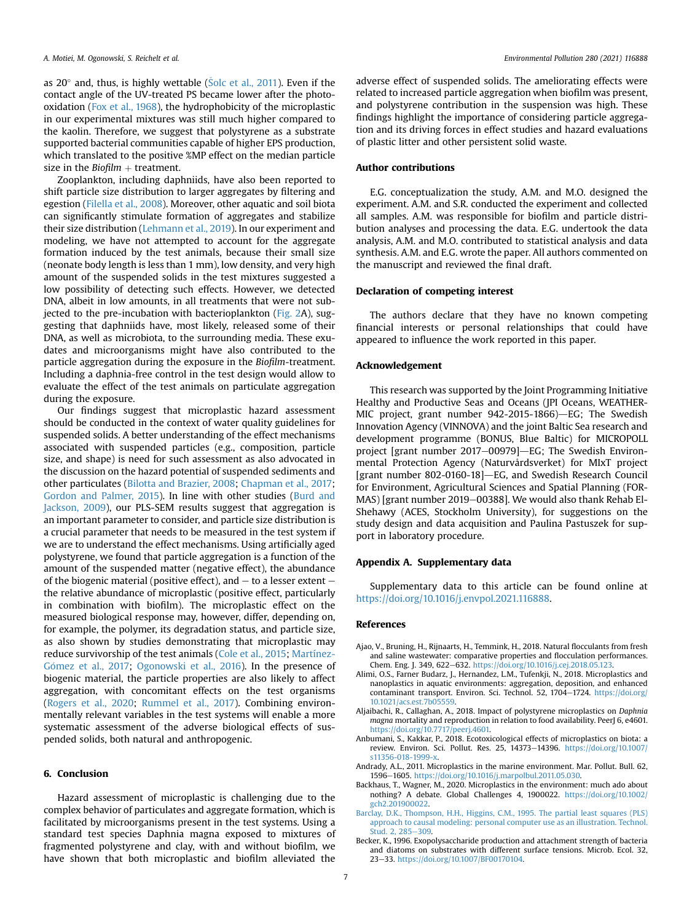as 20 $^{\circ}$  and, thus, is highly wettable (S[olc et al., 2011](#page-8-16)). Even if the contact angle of the UV-treated PS became lower after the photooxidation ([Fox et al., 1968](#page-7-48)), the hydrophobicity of the microplastic in our experimental mixtures was still much higher compared to the kaolin. Therefore, we suggest that polystyrene as a substrate supported bacterial communities capable of higher EPS production, which translated to the positive %MP effect on the median particle size in the Biofilm  $+$  treatment.

Zooplankton, including daphniids, have also been reported to shift particle size distribution to larger aggregates by filtering and egestion [\(Filella et al., 2008\)](#page-7-49). Moreover, other aquatic and soil biota can significantly stimulate formation of aggregates and stabilize their size distribution ([Lehmann et al., 2019\)](#page-7-50). In our experiment and modeling, we have not attempted to account for the aggregate formation induced by the test animals, because their small size (neonate body length is less than 1 mm), low density, and very high amount of the suspended solids in the test mixtures suggested a low possibility of detecting such effects. However, we detected DNA, albeit in low amounts, in all treatments that were not subjected to the pre-incubation with bacterioplankton [\(Fig. 2](#page-4-1)A), suggesting that daphniids have, most likely, released some of their DNA, as well as microbiota, to the surrounding media. These exudates and microorganisms might have also contributed to the particle aggregation during the exposure in the Biofilm-treatment. Including a daphnia-free control in the test design would allow to evaluate the effect of the test animals on particulate aggregation during the exposure.

Our findings suggest that microplastic hazard assessment should be conducted in the context of water quality guidelines for suspended solids. A better understanding of the effect mechanisms associated with suspended particles (e.g., composition, particle size, and shape) is need for such assessment as also advocated in the discussion on the hazard potential of suspended sediments and other particulates ([Bilotta and Brazier, 2008](#page-7-11); [Chapman et al., 2017;](#page-7-12) [Gordon and Palmer, 2015](#page-7-13)). In line with other studies ([Burd and](#page-7-51) [Jackson, 2009](#page-7-51)), our PLS-SEM results suggest that aggregation is an important parameter to consider, and particle size distribution is a crucial parameter that needs to be measured in the test system if we are to understand the effect mechanisms. Using artificially aged polystyrene, we found that particle aggregation is a function of the amount of the suspended matter (negative effect), the abundance of the biogenic material (positive effect), and  $-$  to a lesser extent  $$ the relative abundance of microplastic (positive effect, particularly in combination with biofilm). The microplastic effect on the measured biological response may, however, differ, depending on, for example, the polymer, its degradation status, and particle size, as also shown by studies demonstrating that microplastic may reduce survivorship of the test animals [\(Cole et al., 2015](#page-7-52); [Martínez-](#page-7-53)Gómez et al., 2017; [Ogonowski et al., 2016\)](#page-8-13). In the presence of biogenic material, the particle properties are also likely to affect aggregation, with concomitant effects on the test organisms ([Rogers et al., 2020](#page-8-3); [Rummel et al., 2017\)](#page-8-4). Combining environmentally relevant variables in the test systems will enable a more systematic assessment of the adverse biological effects of suspended solids, both natural and anthropogenic.

# 6. Conclusion

Hazard assessment of microplastic is challenging due to the complex behavior of particulates and aggregate formation, which is facilitated by microorganisms present in the test systems. Using a standard test species Daphnia magna exposed to mixtures of fragmented polystyrene and clay, with and without biofilm, we have shown that both microplastic and biofilm alleviated the

adverse effect of suspended solids. The ameliorating effects were related to increased particle aggregation when biofilm was present, and polystyrene contribution in the suspension was high. These findings highlight the importance of considering particle aggregation and its driving forces in effect studies and hazard evaluations of plastic litter and other persistent solid waste.

## Author contributions

E.G. conceptualization the study, A.M. and M.O. designed the experiment. A.M. and S.R. conducted the experiment and collected all samples. A.M. was responsible for biofilm and particle distribution analyses and processing the data. E.G. undertook the data analysis, A.M. and M.O. contributed to statistical analysis and data synthesis. A.M. and E.G. wrote the paper. All authors commented on the manuscript and reviewed the final draft.

#### Declaration of competing interest

The authors declare that they have no known competing financial interests or personal relationships that could have appeared to influence the work reported in this paper.

## Acknowledgement

This research was supported by the Joint Programming Initiative Healthy and Productive Seas and Oceans (JPI Oceans, WEATHER-MIC project, grant number  $942-2015-1866$ )-EG; The Swedish Innovation Agency (VINNOVA) and the joint Baltic Sea research and development programme (BONUS, Blue Baltic) for MICROPOLL project [grant number 2017-00979]-EG; The Swedish Environmental Protection Agency (Naturvårdsverket) for MIxT project [grant number 802-0160-18]-EG, and Swedish Research Council for Environment, Agricultural Sciences and Spatial Planning (FOR-MAS) [grant number 2019-00388]. We would also thank Rehab El-Shehawy (ACES, Stockholm University), for suggestions on the study design and data acquisition and Paulina Pastuszek for support in laboratory procedure.

## Appendix A. Supplementary data

Supplementary data to this article can be found online at <https://doi.org/10.1016/j.envpol.2021.116888>.

### References

- <span id="page-6-6"></span>Ajao, V., Bruning, H., Rijnaarts, H., Temmink, H., 2018. Natural flocculants from fresh and saline wastewater: comparative properties and flocculation performances. Chem. Eng. J. 349, 622-632. <https://doi.org/10.1016/j.cej.2018.05.123>.
- <span id="page-6-2"></span>Alimi, O.S., Farner Budarz, J., Hernandez, L.M., Tufenkji, N., 2018. Microplastics and nanoplastics in aquatic environments: aggregation, deposition, and enhanced contaminant transport. Environ. Sci. Technol. 52, 1704-1724. [https://doi.org/](https://doi.org/10.1021/acs.est.7b05559) [10.1021/acs.est.7b05559](https://doi.org/10.1021/acs.est.7b05559).
- <span id="page-6-5"></span>Aljaibachi, R., Callaghan, A., 2018. Impact of polystyrene microplastics on Daphnia magna mortality and reproduction in relation to food availability. PeerJ 6, e4601. [https://doi.org/10.7717/peerj.4601.](https://doi.org/10.7717/peerj.4601)
- <span id="page-6-3"></span>Anbumani, S., Kakkar, P., 2018. Ecotoxicological effects of microplastics on biota: a review. Environ. Sci. Pollut. Res. 25, 14373-14396. [https://doi.org/10.1007/](https://doi.org/10.1007/s11356-018-1999-x) [s11356-018-1999-x](https://doi.org/10.1007/s11356-018-1999-x).
- <span id="page-6-1"></span><span id="page-6-0"></span>Andrady, A.L., 2011. Microplastics in the marine environment. Mar. Pollut. Bull. 62, 1596-1605. <https://doi.org/10.1016/j.marpolbul.2011.05.030>.
- Backhaus, T., Wagner, M., 2020. Microplastics in the environment: much ado about nothing? A debate. Global Challenges 4, 1900022. [https://doi.org/10.1002/](https://doi.org/10.1002/gch2.201900022) [gch2.201900022.](https://doi.org/10.1002/gch2.201900022)
- <span id="page-6-4"></span>[Barclay, D.K., Thompson, H.H., Higgins, C.M., 1995. The partial least squares \(PLS\)](http://refhub.elsevier.com/S0269-7491(21)00470-X/sref7) [approach to causal modeling: personal computer use as an illustration. Technol.](http://refhub.elsevier.com/S0269-7491(21)00470-X/sref7) [Stud. 2, 285](http://refhub.elsevier.com/S0269-7491(21)00470-X/sref7)-[309](http://refhub.elsevier.com/S0269-7491(21)00470-X/sref7).
- <span id="page-6-7"></span>Becker, K., 1996. Exopolysaccharide production and attachment strength of bacteria and diatoms on substrates with different surface tensions. Microb. Ecol. 32, 23-33. [https://doi.org/10.1007/BF00170104.](https://doi.org/10.1007/BF00170104)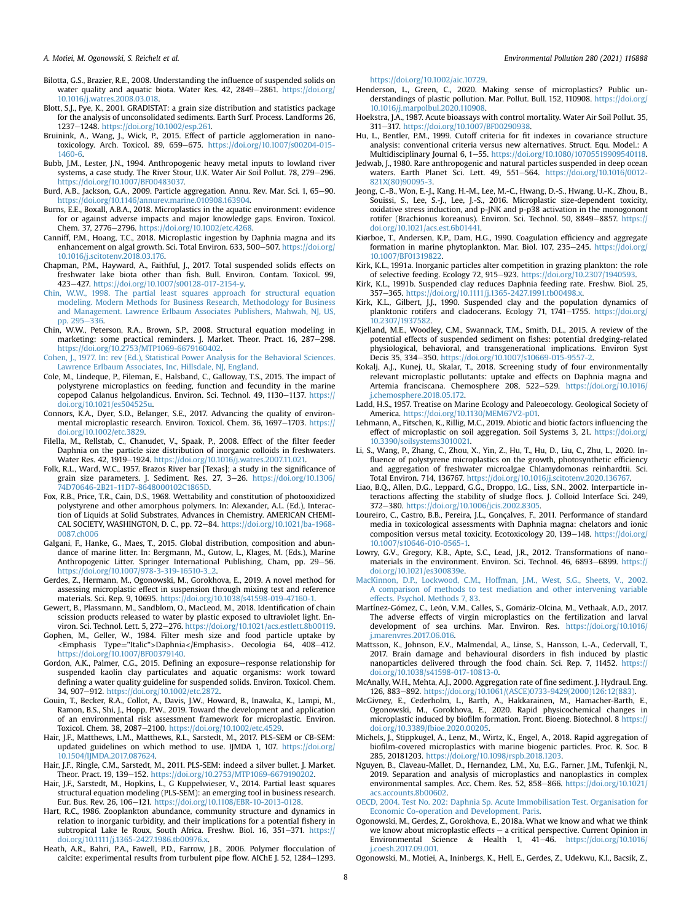#### A. Motiei, M. Ogonowski, S. Reichelt et al. Environmental Pollution 280 (2021) 116888

- <span id="page-7-11"></span>Bilotta, G.S., Brazier, R.E., 2008. Understanding the influence of suspended solids on water quality and aquatic biota. Water Res. 42, 2849-2861. [https://doi.org/](https://doi.org/10.1016/j.watres.2008.03.018) [10.1016/j.watres.2008.03.018](https://doi.org/10.1016/j.watres.2008.03.018).
- <span id="page-7-26"></span>Blott, S.J., Pye, K., 2001. GRADISTAT: a grain size distribution and statistics package for the analysis of unconsolidated sediments. Earth Surf. Process. Landforms 26, 1237-1248. [https://doi.org/10.1002/esp.261.](https://doi.org/10.1002/esp.261)
- <span id="page-7-15"></span>Bruinink, A., Wang, J., Wick, P., 2015. Effect of particle agglomeration in nano-<br>toxicology. Arch. Toxicol. 89, 659–675. [https://doi.org/10.1007/s00204-015-](https://doi.org/10.1007/s00204-015-1460-6) [1460-6.](https://doi.org/10.1007/s00204-015-1460-6)
- <span id="page-7-8"></span>Bubb, J.M., Lester, J.N., 1994. Anthropogenic heavy metal inputs to lowland river systems, a case study. The River Stour, U.K. Water Air Soil Pollut. 78, 279–296. [https://doi.org/10.1007/BF00483037.](https://doi.org/10.1007/BF00483037)
- <span id="page-7-51"></span>Burd, A.B., Jackson, G.A., 2009. Particle aggregation. Annu. Rev. Mar. Sci. 1, 65-90. [https://doi.org/10.1146/annurev.marine.010908.163904.](https://doi.org/10.1146/annurev.marine.010908.163904)
- <span id="page-7-4"></span>Burns, E.E., Boxall, A.B.A., 2018. Microplastics in the aquatic environment: evidence for or against adverse impacts and major knowledge gaps. Environ. Toxicol. Chem. 37, 2776-2796. https://doi.org/10.1002/etc.4268
- <span id="page-7-42"></span>Canniff, P.M., Hoang, T.C., 2018. Microplastic ingestion by Daphnia magna and its enhancement on algal growth. Sci. Total Environ. 633, 500-507. [https://doi.org/](https://doi.org/10.1016/j.scitotenv.2018.03.176) [10.1016/j.scitotenv.2018.03.176](https://doi.org/10.1016/j.scitotenv.2018.03.176).
- <span id="page-7-12"></span>Chapman, P.M., Hayward, A., Faithful, J., 2017. Total suspended solids effects on freshwater lake biota other than fish. Bull. Environ. Contam. Toxicol. 99, 423e427. [https://doi.org/10.1007/s00128-017-2154-y.](https://doi.org/10.1007/s00128-017-2154-y)
- <span id="page-7-28"></span>[Chin, W.W., 1998. The partial least squares approach for structural equation](http://refhub.elsevier.com/S0269-7491(21)00470-X/sref17) [modeling. Modern Methods for Business Research, Methodology for Business](http://refhub.elsevier.com/S0269-7491(21)00470-X/sref17) [and Management. Lawrence Erlbaum Associates Publishers, Mahwah, NJ, US,](http://refhub.elsevier.com/S0269-7491(21)00470-X/sref17) [pp. 295](http://refhub.elsevier.com/S0269-7491(21)00470-X/sref17)-[336.](http://refhub.elsevier.com/S0269-7491(21)00470-X/sref17)
- <span id="page-7-36"></span>Chin, W.W., Peterson, R.A., Brown, S.P., 2008. Structural equation modeling in marketing: some practical reminders. J. Market. Theor. Pract. 16, 287-298. [https://doi.org/10.2753/MTP1069-6679160402.](https://doi.org/10.2753/MTP1069-6679160402)
- <span id="page-7-33"></span>[Cohen, J., 1977. In: rev \(Ed.\), Statistical Power Analysis for the Behavioral Sciences.](http://refhub.elsevier.com/S0269-7491(21)00470-X/sref19) [Lawrence Erlbaum Associates, Inc, Hillsdale, NJ, England.](http://refhub.elsevier.com/S0269-7491(21)00470-X/sref19)
- <span id="page-7-52"></span>Cole, M., Lindeque, P., Fileman, E., Halsband, C., Galloway, T.S., 2015. The impact of polystyrene microplastics on feeding, function and fecundity in the marine copepod Calanus helgolandicus. Environ. Sci. Technol. 49, 1130-1137. [https://](https://doi.org/10.1021/es504525u) [doi.org/10.1021/es504525u](https://doi.org/10.1021/es504525u).
- <span id="page-7-3"></span>Connors, K.A., Dyer, S.D., Belanger, S.E., 2017. Advancing the quality of environmental microplastic research. Environ. Toxicol. Chem. 36, 1697-1703. [https://](https://doi.org/10.1002/etc.3829) [doi.org/10.1002/etc.3829](https://doi.org/10.1002/etc.3829).
- <span id="page-7-49"></span>Filella, M., Rellstab, C., Chanudet, V., Spaak, P., 2008. Effect of the filter feeder Daphnia on the particle size distribution of inorganic colloids in freshwaters. Water Res. 42, 1919-1924. https://doi.org/10.1016/j.watres.2007.11.021
- <span id="page-7-27"></span>Folk, R.L., Ward, W.C., 1957. Brazos River bar [Texas]; a study in the significance of grain size parameters. J. Sediment. Res. 27, 3-26. [https://doi.org/10.1306/](https://doi.org/10.1306/74D70646-2B21-11D7-8648000102C1865D) [74D70646-2B21-11D7-8648000102C1865D](https://doi.org/10.1306/74D70646-2B21-11D7-8648000102C1865D).
- <span id="page-7-48"></span>Fox, R.B., Price, T.R., Cain, D.S., 1968. Wettability and constitution of photooxidized polystyrene and other amorphous polymers. In: Alexander, A.L. (Ed.), Interaction of Liquids at Solid Substrates, Advances in Chemistry. AMERICAN CHEMICAL SOCIETY, WASHINGTON, D. C., pp. 72-84. [https://doi.org/10.1021/ba-1968-](https://doi.org/10.1021/ba-1968-0087.ch006) [0087.ch006](https://doi.org/10.1021/ba-1968-0087.ch006)
- <span id="page-7-0"></span>Galgani, F., Hanke, G., Maes, T., 2015. Global distribution, composition and abundance of marine litter. In: Bergmann, M., Gutow, L., Klages, M. (Eds.), Marine Anthropogenic Litter. Springer International Publishing, Cham, pp. 29-56. [https://doi.org/10.1007/978-3-319-16510-3\\_2](https://doi.org/10.1007/978-3-319-16510-3_2).
- <span id="page-7-18"></span>Gerdes, Z., Hermann, M., Ogonowski, M., Gorokhova, E., 2019. A novel method for assessing microplastic effect in suspension through mixing test and reference materials. Sci. Rep. 9, 10695. [https://doi.org/10.1038/s41598-019-47160-1.](https://doi.org/10.1038/s41598-019-47160-1)
- <span id="page-7-24"></span>Gewert, B., Plassmann, M., Sandblom, O., MacLeod, M., 2018. Identification of chain scission products released to water by plastic exposed to ultraviolet light. Environ. Sci. Technol. Lett. 5, 272-276. <https://doi.org/10.1021/acs.estlett.8b00119>.
- <span id="page-7-40"></span>Gophen, M., Geller, W., 1984. Filter mesh size and food particle uptake by <Emphasis Type="Italic">Daphnia</Emphasis>. Oecologia 64, 408-412. [https://doi.org/10.1007/BF00379140.](https://doi.org/10.1007/BF00379140)
- <span id="page-7-13"></span>Gordon, A.K., Palmer, C.G., 2015. Defining an exposure-response relationship for suspended kaolin clay particulates and aquatic organisms: work toward defining a water quality guideline for suspended solids. Environ. Toxicol. Chem. 34, 907-912. [https://doi.org/10.1002/etc.2872.](https://doi.org/10.1002/etc.2872)
- <span id="page-7-5"></span>Gouin, T., Becker, R.A., Collot, A., Davis, J.W., Howard, B., Inawaka, K., Lampi, M., Ramon, B.S., Shi, J., Hopp, P.W., 2019. Toward the development and application of an environmental risk assessment framework for microplastic. Environ. Toxicol. Chem. 38, 2087-2100. [https://doi.org/10.1002/etc.4529.](https://doi.org/10.1002/etc.4529)
- <span id="page-7-35"></span>Hair, J.F., Matthews, L.M., Matthews, R.L., Sarstedt, M., 2017. PLS-SEM or CB-SEM: updated guidelines on which method to use. IJMDA 1, 107. [https://doi.org/](https://doi.org/10.1504/IJMDA.2017.087624) [10.1504/IJMDA.2017.087624](https://doi.org/10.1504/IJMDA.2017.087624).
- <span id="page-7-31"></span>Hair, J.F., Ringle, C.M., Sarstedt, M., 2011. PLS-SEM: indeed a silver bullet. J. Market. Theor. Pract. 19, 139-152. <https://doi.org/10.2753/MTP1069-6679190202>.
- <span id="page-7-29"></span>Hair, J.F., Sarstedt, M., Hopkins, L., G Kuppelwieser, V., 2014. Partial least squares structural equation modeling (PLS-SEM): an emerging tool in business research. Eur. Bus. Rev. 26, 106-121. <https://doi.org/10.1108/EBR-10-2013-0128>.
- <span id="page-7-37"></span>Hart, R.C., 1986. Zooplankton abundance, community structure and dynamics in relation to inorganic turbidity, and their implications for a potential fishery in subtropical Lake le Roux, South Africa. Freshw. Biol. 16, 351-371. [https://](https://doi.org/10.1111/j.1365-2427.1986.tb00976.x) [doi.org/10.1111/j.1365-2427.1986.tb00976.x.](https://doi.org/10.1111/j.1365-2427.1986.tb00976.x)
- <span id="page-7-34"></span>Heath, A.R., Bahri, P.A., Fawell, P.D., Farrow, J.B., 2006. Polymer flocculation of calcite: experimental results from turbulent pipe flow. AIChE J. 52, 1284-1293.

[https://doi.org/10.1002/aic.10729.](https://doi.org/10.1002/aic.10729)

- <span id="page-7-1"></span>Henderson, L., Green, C., 2020. Making sense of microplastics? Public understandings of plastic pollution. Mar. Pollut. Bull. 152, 110908. [https://doi.org/](https://doi.org/10.1016/j.marpolbul.2020.110908) [10.1016/j.marpolbul.2020.110908.](https://doi.org/10.1016/j.marpolbul.2020.110908)
- <span id="page-7-25"></span>Hoekstra, J.A., 1987. Acute bioassays with control mortality. Water Air Soil Pollut. 35, 311e317. <https://doi.org/10.1007/BF00290938>.
- <span id="page-7-32"></span>Hu, L., Bentler, P.M., 1999. Cutoff criteria for fit indexes in covariance structure analysis: conventional criteria versus new alternatives. Struct. Equ. Model.: A Multidisciplinary Journal 6, 1-55. [https://doi.org/10.1080/10705519909540118.](https://doi.org/10.1080/10705519909540118)
- <span id="page-7-9"></span>Jedwab, J., 1980. Rare anthropogenic and natural particles suspended in deep ocean waters. Earth Planet Sci. Lett. 49, 551-564. [https://doi.org/10.1016/0012-](https://doi.org/10.1016/0012-821X(80)90095-3) [821X\(80\)90095-3](https://doi.org/10.1016/0012-821X(80)90095-3).
- <span id="page-7-41"></span>Jeong, C.-B., Won, E.-J., Kang, H.-M., Lee, M.-C., Hwang, D.-S., Hwang, U.-K., Zhou, B., Souissi, S., Lee, S.-J., Lee, J.-S., 2016. Microplastic size-dependent toxicity, oxidative stress induction, and p-JNK and p-p38 activation in the monogonont rotifer (Brachionus koreanus). Environ. Sci. Technol. 50, 8849–8857. [https://](https://doi.org/10.1021/acs.est.6b01441) [doi.org/10.1021/acs.est.6b01441.](https://doi.org/10.1021/acs.est.6b01441)
- <span id="page-7-38"></span>Kiørboe, T., Andersen, K.P., Dam, H.G., 1990. Coagulation efficiency and aggregate formation in marine phytoplankton. Mar. Biol. 107, 235-245. [https://doi.org/](https://doi.org/10.1007/BF01319822) [10.1007/BF01319822](https://doi.org/10.1007/BF01319822).
- <span id="page-7-16"></span>Kirk, K.L., 1991a. Inorganic particles alter competition in grazing plankton: the role of selective feeding. Ecology 72, 915-923. [https://doi.org/10.2307/1940593.](https://doi.org/10.2307/1940593)
- <span id="page-7-19"></span>Kirk, K.L., 1991b. Suspended clay reduces Daphnia feeding rate. Freshw. Biol. 25, 357-365. <https://doi.org/10.1111/j.1365-2427.1991.tb00498.x>.
- <span id="page-7-22"></span>Kirk, K.L., Gilbert, J.J., 1990. Suspended clay and the population dynamics of planktonic rotifers and cladocerans. Ecology 71, 1741-1755. [https://doi.org/](https://doi.org/10.2307/1937582) [10.2307/1937582.](https://doi.org/10.2307/1937582)
- <span id="page-7-14"></span>Kjelland, M.E., Woodley, C.M., Swannack, T.M., Smith, D.L., 2015. A review of the potential effects of suspended sediment on fishes: potential dredging-related physiological, behavioral, and transgenerational implications. Environ Syst Decis 35, 334-350. <https://doi.org/10.1007/s10669-015-9557-2>.
- <span id="page-7-20"></span>Kokalj, A.J., Kunej, U., Skalar, T., 2018. Screening study of four environmentally relevant microplastic pollutants: uptake and effects on Daphnia magna and Artemia franciscana. Chemosphere 208, 522-529. [https://doi.org/10.1016/](https://doi.org/10.1016/j.chemosphere.2018.05.172) [j.chemosphere.2018.05.172.](https://doi.org/10.1016/j.chemosphere.2018.05.172)
- <span id="page-7-7"></span>Ladd, H.S., 1957. Treatise on Marine Ecology and Paleoecology. Geological Society of America. [https://doi.org/10.1130/MEM67V2-p01.](https://doi.org/10.1130/MEM67V2-p01)
- <span id="page-7-50"></span>Lehmann, A., Fitschen, K., Rillig, M.C., 2019. Abiotic and biotic factors influencing the effect of microplastic on soil aggregation. Soil Systems 3, 21. [https://doi.org/](https://doi.org/10.3390/soilsystems3010021) [10.3390/soilsystems3010021.](https://doi.org/10.3390/soilsystems3010021)
- <span id="page-7-17"></span>Li, S., Wang, P., Zhang, C., Zhou, X., Yin, Z., Hu, T., Hu, D., Liu, C., Zhu, L., 2020. Influence of polystyrene microplastics on the growth, photosynthetic efficiency and aggregation of freshwater microalgae Chlamydomonas reinhardtii. Sci. Total Environ. 714, 136767. [https://doi.org/10.1016/j.scitotenv.2020.136767.](https://doi.org/10.1016/j.scitotenv.2020.136767)
- <span id="page-7-45"></span>Liao, B.Q., Allen, D.G., Leppard, G.G., Droppo, I.G., Liss, S.N., 2002. Interparticle interactions affecting the stability of sludge flocs. J. Colloid Interface Sci. 249, 372-380. [https://doi.org/10.1006/jcis.2002.8305.](https://doi.org/10.1006/jcis.2002.8305)
- <span id="page-7-23"></span>Loureiro, C., Castro, B.B., Pereira, J.L., Gonçalves, F., 2011. Performance of standard media in toxicological assessments with Daphnia magna: chelators and ionic composition versus metal toxicity. Ecotoxicology 20, 139-148. [https://doi.org/](https://doi.org/10.1007/s10646-010-0565-1) [10.1007/s10646-010-0565-1.](https://doi.org/10.1007/s10646-010-0565-1)
- <span id="page-7-10"></span>Lowry, G.V., Gregory, K.B., Apte, S.C., Lead, J.R., 2012. Transformations of nanomaterials in the environment. Environ. Sci. Technol. 46, 6893-6899. [https://](https://doi.org/10.1021/es300839e) [doi.org/10.1021/es300839e.](https://doi.org/10.1021/es300839e)
- <span id="page-7-30"></span>[MacKinnon, D.P., Lockwood, C.M., Hoffman, J.M., West, S.G., Sheets, V., 2002.](http://refhub.elsevier.com/S0269-7491(21)00470-X/sref53) [A comparison of methods to test mediation and other intervening variable](http://refhub.elsevier.com/S0269-7491(21)00470-X/sref53) [effects. Psychol. Methods 7, 83.](http://refhub.elsevier.com/S0269-7491(21)00470-X/sref53)
- <span id="page-7-53"></span>Martínez-Gómez, C., León, V.M., Calles, S., Gomáriz-Olcina, M., Vethaak, A.D., 2017. The adverse effects of virgin microplastics on the fertilization and larval development of sea urchins. Mar. Environ. Res. [https://doi.org/10.1016/](https://doi.org/10.1016/j.marenvres.2017.06.016) [j.marenvres.2017.06.016.](https://doi.org/10.1016/j.marenvres.2017.06.016)
- <span id="page-7-39"></span>Mattsson, K., Johnson, E.V., Malmendal, A., Linse, S., Hansson, L.-A., Cedervall, T., 2017. Brain damage and behavioural disorders in fish induced by plastic nanoparticles delivered through the food chain. Sci. Rep. 7, 11452. [https://](https://doi.org/10.1038/s41598-017-10813-0) [doi.org/10.1038/s41598-017-10813-0.](https://doi.org/10.1038/s41598-017-10813-0)
- <span id="page-7-43"></span>McAnally, W.H., Mehta, A.J., 2000. Aggregation rate of fine sediment. J. Hydraul. Eng. 126, 883-892. [https://doi.org/10.1061/\(ASCE\)0733-9429\(2000\)126:12\(883\)](https://doi.org/10.1061/(ASCE)0733-9429(2000)126:12(883)).
- <span id="page-7-47"></span>McGivney, E., Cederholm, L., Barth, A., Hakkarainen, M., Hamacher-Barth, E., Ogonowski, M., Gorokhova, E., 2020. Rapid physicochemical changes in microplastic induced by biofilm formation. Front. Bioeng. Biotechnol. 8 [https://](https://doi.org/10.3389/fbioe.2020.00205) [doi.org/10.3389/fbioe.2020.00205.](https://doi.org/10.3389/fbioe.2020.00205)
- <span id="page-7-44"></span>Michels, J., Stippkugel, A., Lenz, M., Wirtz, K., Engel, A., 2018. Rapid aggregation of biofilm-covered microplastics with marine biogenic particles. Proc. R. Soc. B 285, 20181203. <https://doi.org/10.1098/rspb.2018.1203>.
- <span id="page-7-6"></span>Nguyen, B., Claveau-Mallet, D., Hernandez, L.M., Xu, E.G., Farner, J.M., Tufenkji, N., 2019. Separation and analysis of microplastics and nanoplastics in complex environmental samples. Acc. Chem. Res. 52, 858-866. [https://doi.org/10.1021/](https://doi.org/10.1021/acs.accounts.8b00602) [acs.accounts.8b00602](https://doi.org/10.1021/acs.accounts.8b00602).
- <span id="page-7-21"></span>[OECD, 2004. Test No. 202: Daphnia Sp. Acute Immobilisation Test. Organisation for](http://refhub.elsevier.com/S0269-7491(21)00470-X/sref60) [Economic Co-operation and Development, Paris](http://refhub.elsevier.com/S0269-7491(21)00470-X/sref60).
- <span id="page-7-2"></span>Ogonowski, M., Gerdes, Z., Gorokhova, E., 2018a. What we know and what we think we know about microplastic effects  $-$  a critical perspective. Current Opinion in Environmental Science & Health 1,  $41-46$ . [https://doi.org/10.1016/](https://doi.org/10.1016/j.coesh.2017.09.001) [j.coesh.2017.09.001.](https://doi.org/10.1016/j.coesh.2017.09.001)
- <span id="page-7-46"></span>Ogonowski, M., Motiei, A., Ininbergs, K., Hell, E., Gerdes, Z., Udekwu, K.I., Bacsik, Z.,